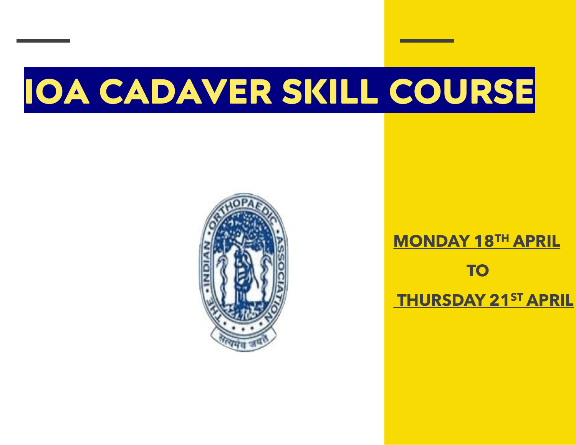# **IOA CADAVER SKILL COURSE**



# **MONDAY 18TH APRIL TO THURSDAY 21ST APRIL**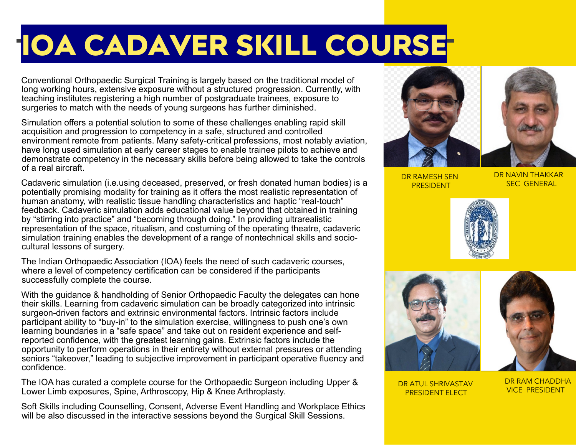# **IOA CADAVER SKILL COURSE**

Conventional Orthopaedic Surgical Training is largely based on the traditional model of long working hours, extensive exposure without a structured progression. Currently, with teaching institutes registering a high number of postgraduate trainees, exposure to surgeries to match with the needs of young surgeons has further diminished.

Simulation offers a potential solution to some of these challenges enabling rapid skill acquisition and progression to competency in a safe, structured and controlled environment remote from patients. Many safety-critical professions, most notably aviation, have long used simulation at early career stages to enable trainee pilots to achieve and demonstrate competency in the necessary skills before being allowed to take the controls of a real aircraft.

Cadaveric simulation (i.e.using deceased, preserved, or fresh donated human bodies) is a potentially promising modality for training as it offers the most realistic representation of human anatomy, with realistic tissue handling characteristics and haptic "real-touch" feedback. Cadaveric simulation adds educational value beyond that obtained in training by "stirring into practice" and "becoming through doing." In providing ultrarealistic representation of the space, ritualism, and costuming of the operating theatre, cadaveric simulation training enables the development of a range of nontechnical skills and sociocultural lessons of surgery.

The Indian Orthopaedic Association (IOA) feels the need of such cadaveric courses, where a level of competency certification can be considered if the participants successfully complete the course.

With the guidance & handholding of Senior Orthopaedic Faculty the delegates can hone their skills. Learning from cadaveric simulation can be broadly categorized into intrinsic surgeon-driven factors and extrinsic environmental factors. Intrinsic factors include participant ability to "buy-in" to the simulation exercise, willingness to push one's own learning boundaries in a "safe space" and take out on resident experience and selfreported confidence, with the greatest learning gains. Extrinsic factors include the opportunity to perform operations in their entirety without external pressures or attending seniors "takeover," leading to subjective improvement in participant operative fluency and confidence.

The IOA has curated a complete course for the Orthopaedic Surgeon including Upper & Lower Limb exposures, Spine, Arthroscopy, Hip & Knee Arthroplasty.

Soft Skills including Counselling, Consent, Adverse Event Handling and Workplace Ethics will be also discussed in the interactive sessions beyond the Surgical Skill Sessions.



DR RAMESH SEN PRESIDENT

DR NAVIN THAKKAR SEC GENERAL





DR ATUL SHRIVASTAV PRESIDENT ELECT

DR RAM CHADDHA VICE PRESIDENT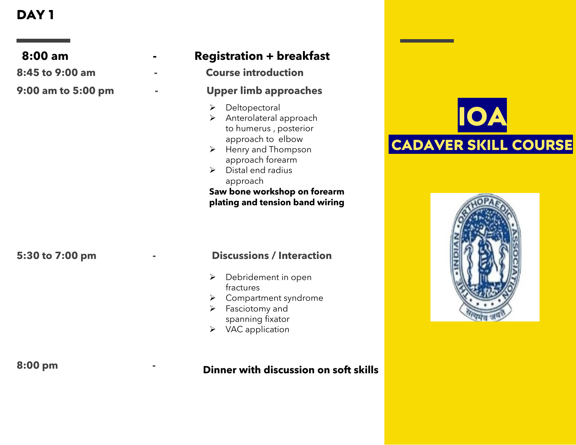| $8:00$ am          | <b>Registration + breakfast</b>                                                                                                                                                                                                                                        |                                           |
|--------------------|------------------------------------------------------------------------------------------------------------------------------------------------------------------------------------------------------------------------------------------------------------------------|-------------------------------------------|
| 8:45 to 9:00 am    | <b>Course introduction</b>                                                                                                                                                                                                                                             |                                           |
| 9:00 am to 5:00 pm | <b>Upper limb approaches</b>                                                                                                                                                                                                                                           |                                           |
|                    | Deltopectoral<br>Anterolateral approach<br>➤<br>to humerus, posterior<br>approach to elbow<br>Henry and Thompson<br>➤<br>approach forearm<br>Distal end radius<br>$\blacktriangleright$<br>approach<br>Saw bone workshop on forearm<br>plating and tension band wiring | <b>IOA</b><br><b>CADAVER SKILL COURSE</b> |
| 5:30 to 7:00 pm    | <b>Discussions / Interaction</b><br>Debridement in open<br>fractures<br>Compartment syndrome<br>Fasciotomy and<br>➤<br>spanning fixator<br>$\triangleright$ VAC application                                                                                            |                                           |
| 8:00 pm            | Dinner with discussion on soft skills                                                                                                                                                                                                                                  |                                           |

### **Dinner with discussion on soft skills**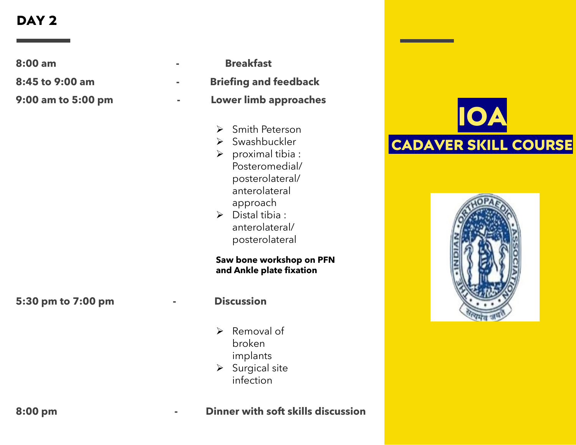**8:00 am - Breakfast**

**8:45 to 9:00 am - Briefing and feedback**

**9:00 am to 5:00 pm - Lower limb approaches**

- Smith Peterson
- > Swashbuckler
- $\triangleright$  proximal tibia : Posteromedial/ posterolateral/ anterolateral approach
- $\triangleright$  Distal tibia : anterolateral/ posterolateral

**Saw bone workshop on PFN and Ankle plate fixation** 

### **5:30 pm to 7:00 pm - Discussion**

- $\triangleright$  Removal of broken implants
- $\triangleright$  Surgical site infection





**8:00 pm - Dinner with soft skills discussion**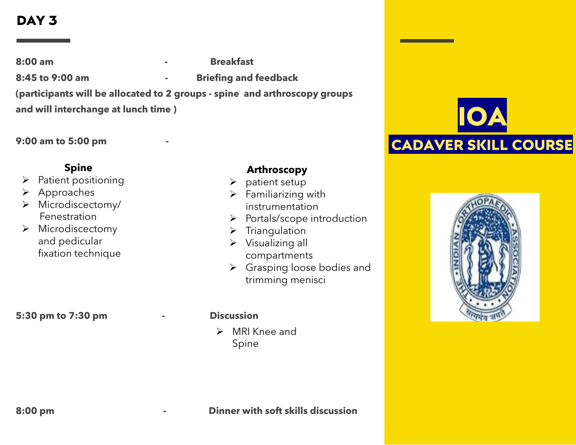- **8:00 am - Breakfast**
- 
- **8:45 to 9:00 am - Briefing and feedback**

**(participants will be allocated to 2 groups - spine and arthroscopy groups** 

**and will interchange at lunch time )**

**9:00 am to 5:00 pm -**

### **Spine**

- $\triangleright$  Patient positioning
- ▶ Approaches
- > Microdiscectomy/ Fenestration
- $\triangleright$  Microdiscectomy and pedicular fixation technique

**5:30 pm to 7:30 pm - Discussion** 

### **Arthroscopy**

- $\triangleright$  patient setup
- $\triangleright$  Familiarizing with instrumentation
- $\triangleright$  Portals/scope introduction
- $\triangleright$  Triangulation
- $\triangleright$  Visualizing all compartments
- ▶ Grasping loose bodies and trimming menisci

 $\triangleright$  MRI Knee and Spine



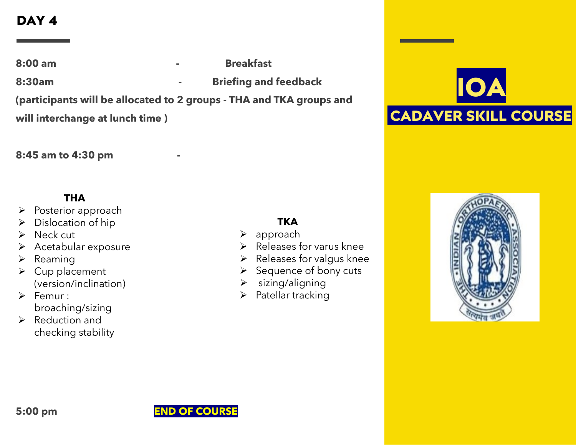**8:00 am - Breakfast 8:30am - Briefing and feedback (participants will be allocated to 2 groups - THA and TKA groups and will interchange at lunch time )**

### 8:45 am to 4:30 pm

### **THA**

- $\triangleright$  Posterior approach
- $\triangleright$  Dislocation of hip
- $\triangleright$  Neck cut
- $\triangleright$  Acetabular exposure
- $\triangleright$  Reaming
- $\triangleright$  Cup placement (version/inclination)
- $\triangleright$  Femur : broaching/sizing
- $\triangleright$  Reduction and checking stability

### **TKA**

- approach
- $\triangleright$  Releases for varus knee
- $\triangleright$  Releases for valgus knee
- $\triangleright$  Sequence of bony cuts
- $\triangleright$  sizing/aligning
- $\triangleright$  Patellar tracking





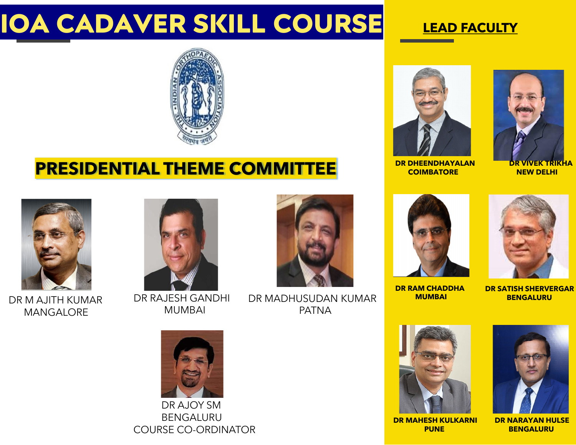# **IOA CADAVER SKILL COURSE**

# **LEAD FACULTY**



# **PRESIDENTIAL THEME COMMITTEE**



**COIMBATORE**



**DR VIVEK TRIKHA NEW DELHI**



DR M AJITH KUMAR MANGALORE



DR RAJESH GANDHI MUMBAI



DR MADHUSUDAN KUMAR PATNA



**DR RAM CHADDHA MUMBAI**



**DR SATISH SHERVERGAR BENGALURU**







**DR NARAYAN HULSE BENGALURU**



DR AJOY SM BENGALURU COURSE CO-ORDINATOR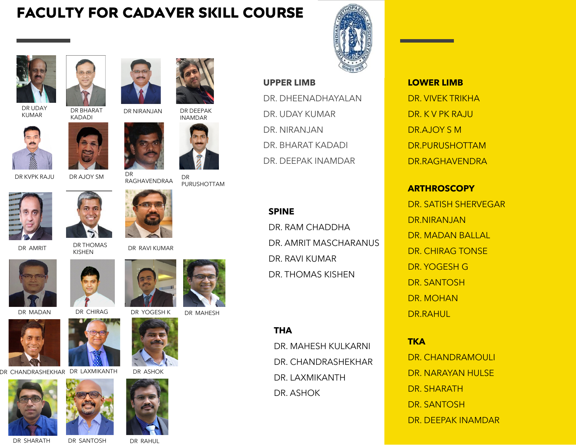# **FACULTY FOR CADAVER SKILL COURSE**



DR UDAY KUMAR



DR BHARAT

DR KVPK RAJU DR AJOY SM



DR AMRIT DR THOMAS





DR CHANDRASHEKHAR DR LAXMIKANTH DR ASHOK









DR NIRANJAN DR DEEPAK INAMDAR



DR<br>RAGHAVENDRAA DR PURUSHOTTAM



DR RAVI KUMAR









DR MADAN DR CHIRAG DR YOGESH K DR MAHESH



#### **UPPER LIMB**

DR. DHEENADHAYALAN DR. UDAY KUMAR DR. NIRANJAN DR. BHARAT KADADI DR. DEEPAK INAMDAR

### **SPINE**

DR. RAM CHADDHA DR. AMRIT MASCHARANUS DR. RAVI KUMAR DR. THOMAS KISHEN

### **THA**

DR. MAHESH KULKARNI DR. CHANDRASHEKHAR DR. LAXMIKANTH DR. ASHOK



DR. VIVEK TRIKHA DR. K V PK RAJU DR.AJOY S M DR.PURUSHOTTAM DR.RAGHAVENDRA

### **ARTHROSCOPY**

DR. SATISH SHERVEGAR DR.NIRANJAN DR. MADAN BALLAL DR. CHIRAG TONSE DR. YOGESH G DR. SANTOSH DR. MOHAN DR.RAHUL

#### **TKA**

DR. CHANDRAMOULI DR. NARAYAN HULSE DR. SHARATH DR. SANTOSH DR. DEEPAK INAMDAR

DR SHARATH DR SANTOSH DR RAHUL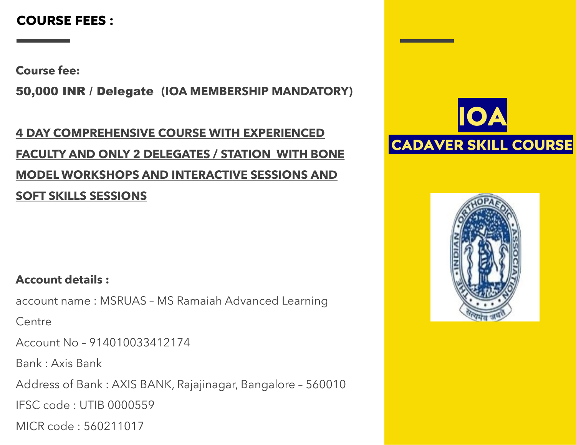# **COURSE FEES :**

**Course fee:**

50,000 INR / Delegate **(IOA MEMBERSHIP MANDATORY)**

# **4 DAY COMPREHENSIVE COURSE WITH EXPERIENCED FACULTY AND ONLY 2 DELEGATES / STATION WITH BONE MODEL WORKSHOPS AND INTERACTIVE SESSIONS AND SOFT SKILLS SESSIONS**



### **Account details :**

account name : MSRUAS – MS Ramaiah Advanced Learning

**Centre** 

Account No – 914010033412174

Bank : Axis Bank

Address of Bank : AXIS BANK, Rajajinagar, Bangalore – 560010

IFSC code : UTIB 0000559

MICR code : 560211017